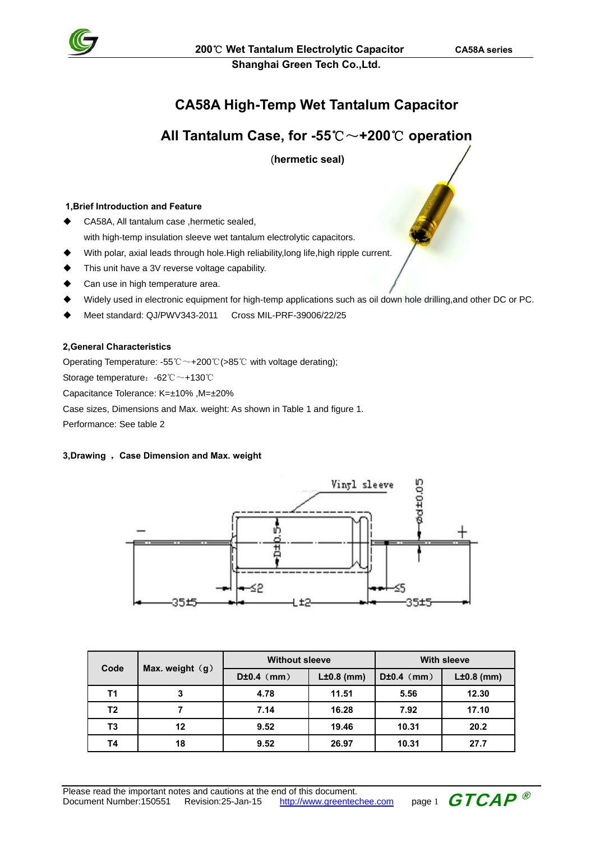

**Shanghai Green Tech Co.,Ltd.** 

## **CA58A High-Temp Wet Tantalum Capacitor**

## **All Tantalum Case, for -55**℃~**+200**℃ **operation**

(**hermetic seal)**

### **1,Brief Introduction and Feature**

- CA58A, All tantalum case ,hermetic sealed, with high-temp insulation sleeve wet tantalum electrolytic capacitors.
- With polar, axial leads through hole.High reliability,long life,high ripple current.
- This unit have a 3V reverse voltage capability.
- Can use in high temperature area.
- Widely used in electronic equipment for high-temp applications such as oil down hole drilling,and other DC or PC.
- Meet standard: QJ/PWV343-2011 Cross MIL-PRF-39006/22/25

#### **2,General Characteristics**

Operating Temperature: -55℃~+200℃(>85℃ with voltage derating);

Storage temperature:-62℃~+130℃

Capacitance Tolerance: K=±10% ,M=±20%

```
Case sizes, Dimensions and Max. weight: As shown in Table 1 and figure 1.
```
Performance: See table 2

#### **3,Drawing** ,**Case Dimension and Max. weight**



| Code |                   | <b>Without sleeve</b> |              | <b>With sleeve</b> |              |  |
|------|-------------------|-----------------------|--------------|--------------------|--------------|--|
|      | Max. weight $(g)$ | $D±0.4$ (mm)          | $L±0.8$ (mm) | $D±0.4$ (mm)       | $L±0.8$ (mm) |  |
| T1   | 3                 | 4.78                  | 11.51        | 5.56               | 12.30        |  |
| T2   |                   | 7.14                  | 16.28        | 7.92               | 17.10        |  |
| T3   | 12                | 9.52                  | 19.46        | 10.31              | 20.2         |  |
| T4   | 18                | 9.52                  | 26.97        | 10.31              | 27.7         |  |

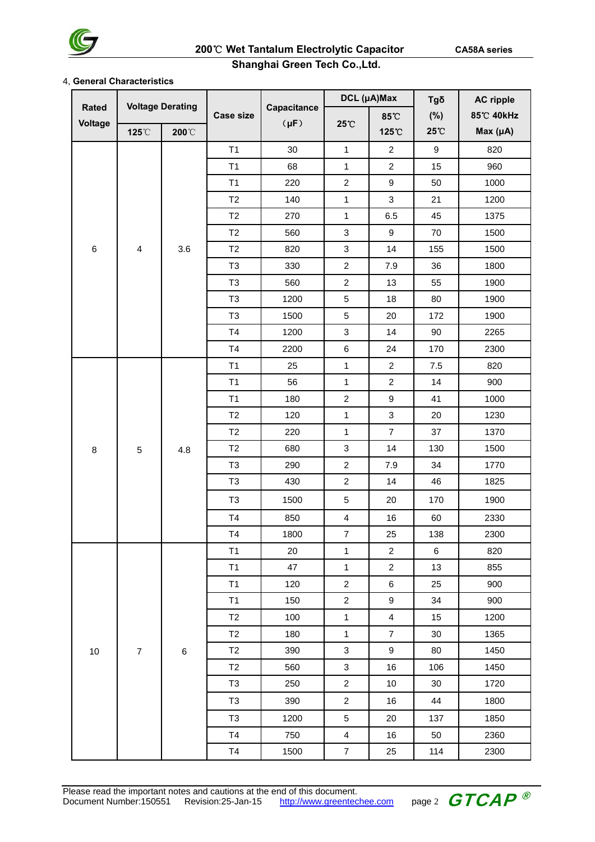

### **Shanghai Green Tech Co.,Ltd.**

#### 4, **General Characteristics**

|                         | <b>Voltage Derating</b> |                       |                  |                          | DCL (µA)Max               |                         | Tgδ              | <b>AC ripple</b> |
|-------------------------|-------------------------|-----------------------|------------------|--------------------------|---------------------------|-------------------------|------------------|------------------|
| <b>Rated</b><br>Voltage |                         |                       | <b>Case size</b> | Capacitance<br>$(\mu F)$ |                           | 85°C                    | (%)              | 85°C 40kHz       |
|                         | 125°C                   | $200^{\circ}\text{C}$ |                  |                          | 25°C                      | 125°C                   | 25°C             | Max (µA)         |
|                         |                         |                       | T1               | 30                       | $\mathbf{1}$              | $\overline{2}$          | $\boldsymbol{9}$ | 820              |
|                         |                         |                       | T1               | 68                       | $\mathbf{1}$              | $\overline{c}$          | 15               | 960              |
|                         |                         |                       | T1               | 220                      | $\boldsymbol{2}$          | $\boldsymbol{9}$        | 50               | 1000             |
|                         |                         |                       | T2               | 140                      | $\mathbf{1}$              | $\sqrt{3}$              | 21               | 1200             |
|                         |                         |                       | T2               | 270                      | $\mathbf{1}$              | 6.5                     | 45               | 1375             |
|                         |                         |                       | T2               | 560                      | $\sqrt{3}$                | $\boldsymbol{9}$        | 70               | 1500             |
| 6                       | $\overline{\mathbf{4}}$ | 3.6                   | T2               | 820                      | $\sqrt{3}$                | 14                      | 155              | 1500             |
|                         |                         |                       | T <sub>3</sub>   | 330                      | $\boldsymbol{2}$          | 7.9                     | 36               | 1800             |
|                         |                         |                       | T <sub>3</sub>   | 560                      | $\sqrt{2}$                | 13                      | 55               | 1900             |
|                         |                         |                       | T <sub>3</sub>   | 1200                     | $\,$ 5 $\,$               | 18                      | 80               | 1900             |
|                         |                         |                       | T <sub>3</sub>   | 1500                     | $\mathbf 5$               | 20                      | 172              | 1900             |
|                         |                         |                       | T4               | 1200                     | $\ensuremath{\mathsf{3}}$ | 14                      | 90               | 2265             |
|                         |                         |                       | T4               | 2200                     | $\,6$                     | 24                      | 170              | 2300             |
|                         | 5                       | 4.8                   | T1               | 25                       | 1                         | $\mathbf{2}$            | 7.5              | 820              |
|                         |                         |                       | T1               | 56                       | $\mathbf{1}$              | $\overline{c}$          | 14               | 900              |
|                         |                         |                       | T1               | 180                      | $\sqrt{2}$                | $\boldsymbol{9}$        | 41               | 1000             |
|                         |                         |                       | T2               | 120                      | $\mathbf{1}$              | $\sqrt{3}$              | 20               | 1230             |
|                         |                         |                       | T <sub>2</sub>   | 220                      | $\mathbf{1}$              | $\overline{7}$          | 37               | 1370             |
| 8                       |                         |                       | T2               | 680                      | $\sqrt{3}$                | 14                      | 130              | 1500             |
|                         |                         |                       | T <sub>3</sub>   | 290                      | $\overline{c}$            | 7.9                     | 34               | 1770             |
|                         |                         |                       | T <sub>3</sub>   | 430                      | $\boldsymbol{2}$          | 14                      | 46               | 1825             |
|                         |                         |                       | T <sub>3</sub>   | 1500                     | $\mathbf 5$               | 20                      | 170              | 1900             |
|                         |                         |                       | T4               | 850                      | $\overline{\mathbf{4}}$   | 16                      | 60               | 2330             |
|                         |                         |                       | T <sub>4</sub>   | 1800                     | $\overline{7}$            | 25                      | 138              | 2300             |
|                         |                         |                       | T1               | 20                       | $\mathbf{1}$              | $\overline{c}$          | $\,6\,$          | 820              |
|                         |                         |                       | T1               | 47                       | $\mathbf{1}$              | $\overline{c}$          | 13               | 855              |
|                         |                         |                       | T1               | 120                      | $\overline{2}$            | $\,6\,$                 | 25               | 900              |
|                         |                         |                       | T1               | 150                      | $\overline{2}$            | $\boldsymbol{9}$        | 34               | 900              |
|                         |                         |                       | T <sub>2</sub>   | 100                      | $\mathbf{1}$              | $\overline{\mathbf{4}}$ | 15               | 1200             |
|                         |                         | $\,6\,$               | T <sub>2</sub>   | 180                      | $\overline{1}$            | $\overline{7}$          | 30               | 1365             |
| 10                      | $\overline{\mathbf{7}}$ |                       | T <sub>2</sub>   | 390                      | 3                         | $9\,$                   | 80               | 1450             |
|                         |                         |                       | T <sub>2</sub>   | 560                      | $\mathbf{3}$              | 16                      | 106              | 1450             |
|                         |                         |                       | T <sub>3</sub>   | 250                      | $\overline{2}$            | 10                      | 30               | 1720             |
|                         |                         |                       | T <sub>3</sub>   | 390                      | $\overline{2}$            | 16                      | 44               | 1800             |
|                         |                         |                       | T <sub>3</sub>   | 1200                     | $\sqrt{5}$                | 20                      | 137              | 1850             |
|                         |                         |                       | T <sub>4</sub>   | 750                      | $\overline{4}$            | 16                      | 50               | 2360             |
|                         |                         |                       | T4               | 1500                     | $\boldsymbol{7}$          | 25                      | 114              | 2300             |

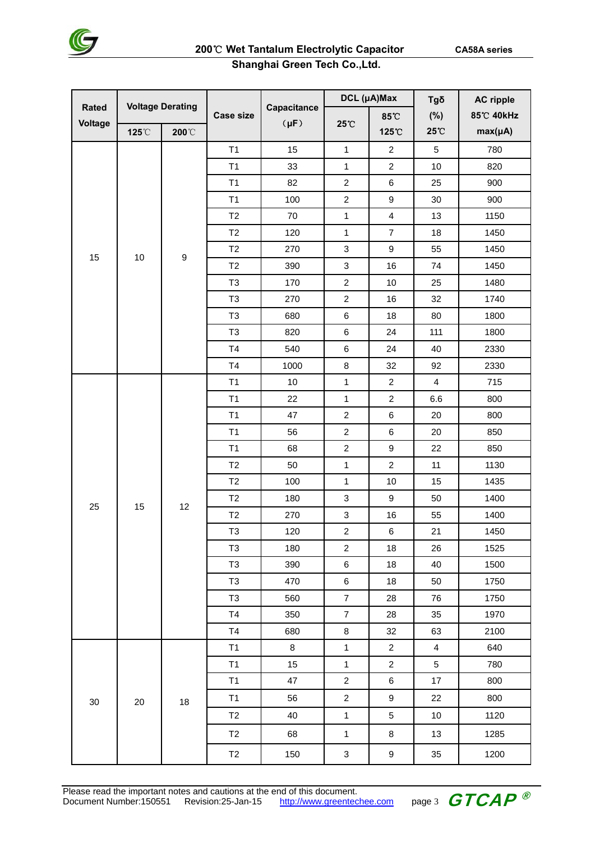

## **Shanghai Green Tech Co.,Ltd.**

| <b>Rated</b> | <b>Voltage Derating</b> |                       |                  | Capacitance | DCL (µA)Max               |                         | Tgδ                     | <b>AC ripple</b> |
|--------------|-------------------------|-----------------------|------------------|-------------|---------------------------|-------------------------|-------------------------|------------------|
| Voltage      |                         |                       | <b>Case size</b> | $(\mu F)$   | 25°C                      | 85°C                    | (%)                     | 85°C 40kHz       |
|              | 125°C                   | $200^{\circ}\text{C}$ |                  |             |                           | 125°C                   | 25°C                    | $max(\mu A)$     |
|              |                         |                       | T1               | 15          | 1                         | $\overline{2}$          | 5                       | 780              |
|              |                         |                       | T1               | 33          | $\mathbf{1}$              | $\overline{2}$          | 10                      | 820              |
|              |                         |                       | T1               | 82          | $\overline{c}$            | 6                       | 25                      | 900              |
|              |                         |                       | T1               | 100         | $\overline{c}$            | $\boldsymbol{9}$        | 30                      | 900              |
|              |                         |                       | T2               | 70          | $\mathbf{1}$              | $\overline{\mathbf{4}}$ | 13                      | 1150             |
|              |                         |                       | T <sub>2</sub>   | 120         | 1                         | $\overline{7}$          | 18                      | 1450             |
| 15           | 10                      | $\boldsymbol{9}$      | T2               | 270         | 3                         | 9                       | 55                      | 1450             |
|              |                         |                       | T2               | 390         | 3                         | 16                      | 74                      | 1450             |
|              |                         |                       | T <sub>3</sub>   | 170         | $\overline{c}$            | 10                      | 25                      | 1480             |
|              |                         |                       | T <sub>3</sub>   | 270         | $\overline{c}$            | 16                      | 32                      | 1740             |
|              |                         |                       | T <sub>3</sub>   | 680         | 6                         | 18                      | 80                      | 1800             |
|              |                         |                       | T <sub>3</sub>   | 820         | 6                         | 24                      | 111                     | 1800             |
|              |                         |                       | T <sub>4</sub>   | 540         | 6                         | 24                      | 40                      | 2330             |
|              |                         |                       | T4               | 1000        | 8                         | 32                      | 92                      | 2330             |
|              |                         | 12                    | T1               | 10          | $\mathbf{1}$              | $\overline{c}$          | $\overline{4}$          | 715              |
|              |                         |                       | T1               | 22          | $\mathbf{1}$              | $\overline{c}$          | 6.6                     | 800              |
|              |                         |                       | T1               | 47          | $\overline{c}$            | 6                       | 20                      | 800              |
|              |                         |                       | T1               | 56          | $\overline{c}$            | 6                       | 20                      | 850              |
|              |                         |                       | T1               | 68          | $\overline{c}$            | $\boldsymbol{9}$        | 22                      | 850              |
|              |                         |                       | T2               | 50          | $\mathbf{1}$              | $\overline{c}$          | 11                      | 1130             |
|              |                         |                       | T2               | 100         | $\mathbf{1}$              | 10                      | 15                      | 1435             |
| 25           | 15                      |                       | T <sub>2</sub>   | 180         | 3                         | $\boldsymbol{9}$        | 50                      | 1400             |
|              |                         |                       | T2               | 270         | 3                         | 16                      | 55                      | 1400             |
|              |                         |                       | T <sub>3</sub>   | 120         | $\overline{c}$            | 6                       | 21                      | 1450             |
|              |                         |                       | T <sub>3</sub>   | 180         | $\overline{c}$            | 18                      | 26                      | 1525             |
|              |                         |                       | T <sub>3</sub>   | 390         | 6                         | 18                      | 40                      | 1500             |
|              |                         |                       | T <sub>3</sub>   | 470         | $\,6$                     | 18                      | 50                      | 1750             |
|              |                         |                       | T <sub>3</sub>   | 560         | $\overline{7}$            | 28                      | 76                      | 1750             |
|              |                         |                       | T4               | 350         | $\overline{7}$            | 28                      | 35                      | 1970             |
|              |                         |                       | T4               | 680         | $\bf 8$                   | 32                      | 63                      | 2100             |
|              |                         |                       | T1               | $\bf 8$     | $\mathbf{1}$              | $\overline{c}$          | $\overline{\mathbf{4}}$ | 640              |
|              |                         |                       | T1               | 15          | $\mathbf{1}$              | $\overline{c}$          | 5                       | 780              |
|              |                         |                       | T1               | 47          | $\overline{c}$            | 6                       | 17                      | 800              |
| $30\,$       | 20                      | 18                    | T1               | 56          | $\sqrt{2}$                | $\boldsymbol{9}$        | 22                      | 800              |
|              |                         |                       | T2               | 40          | $\mathbf{1}$              | $\sqrt{5}$              | 10                      | 1120             |
|              |                         |                       | T2               | 68          | $\mathbf{1}$              | 8                       | 13                      | 1285             |
|              |                         |                       | T2               | 150         | $\ensuremath{\mathsf{3}}$ | 9                       | 35                      | 1200             |

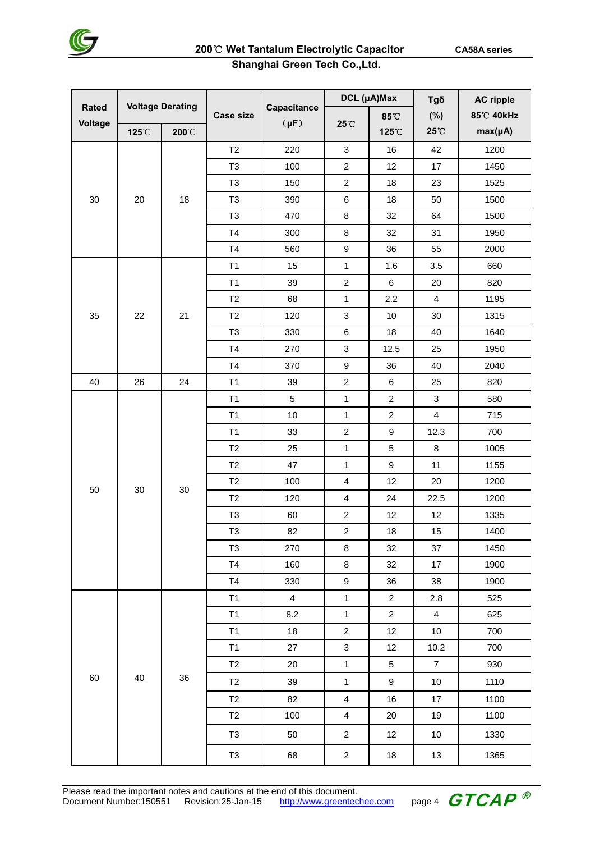

## **Shanghai Green Tech Co.,Ltd.**

|                         | <b>Voltage Derating</b> |                 |                  |                          | DCL (µA)Max               |                  | Tgδ                     | <b>AC ripple</b> |
|-------------------------|-------------------------|-----------------|------------------|--------------------------|---------------------------|------------------|-------------------------|------------------|
| <b>Rated</b><br>Voltage |                         |                 | <b>Case size</b> | Capacitance<br>$(\mu F)$ |                           | 85°C             | (%)                     | 85°C 40kHz       |
|                         | 125°C                   | $200^{\circ}$ C |                  |                          | 25°C                      | 125℃             | 25°C                    | $max(\mu A)$     |
|                         |                         |                 | T2               | 220                      | $\sqrt{3}$                | 16               | 42                      | 1200             |
|                         |                         |                 | T <sub>3</sub>   | 100                      | $\boldsymbol{2}$          | 12               | 17                      | 1450             |
|                         |                         |                 | T <sub>3</sub>   | 150                      | $\overline{c}$            | 18               | 23                      | 1525             |
| 30                      | 20                      | 18              | T <sub>3</sub>   | 390                      | $\,6\,$                   | 18               | 50                      | 1500             |
|                         |                         |                 | T <sub>3</sub>   | 470                      | 8                         | 32               | 64                      | 1500             |
|                         |                         |                 | T4               | 300                      | 8                         | 32               | 31                      | 1950             |
|                         |                         |                 | T4               | 560                      | $\boldsymbol{9}$          | 36               | 55                      | 2000             |
|                         |                         |                 | T1               | 15                       | $\mathbf{1}$              | 1.6              | 3.5                     | 660              |
|                         |                         |                 | T1               | 39                       | $\overline{c}$            | $\,6\,$          | 20                      | 820              |
|                         |                         |                 | T2               | 68                       | $\mathbf{1}$              | 2.2              | $\overline{\mathbf{4}}$ | 1195             |
| 35                      | 22                      | 21              | T2               | 120                      | $\mathbf{3}$              | 10               | 30                      | 1315             |
|                         |                         |                 | T <sub>3</sub>   | 330                      | $\,6\,$                   | 18               | 40                      | 1640             |
|                         |                         |                 | T4               | 270                      | 3                         | 12.5             | 25                      | 1950             |
|                         |                         |                 | T4               | 370                      | $\boldsymbol{9}$          | 36               | 40                      | 2040             |
| 40                      | 26                      | 24              | T1               | 39                       | $\overline{c}$            | 6                | 25                      | 820              |
|                         |                         | 30              | T1               | 5                        | $\mathbf{1}$              | $\overline{c}$   | 3                       | 580              |
|                         |                         |                 | T1               | 10                       | $\mathbf{1}$              | $\overline{c}$   | $\overline{\mathbf{4}}$ | 715              |
|                         |                         |                 | T1               | 33                       | $\overline{c}$            | $\boldsymbol{9}$ | 12.3                    | 700              |
|                         |                         |                 | T2               | 25                       | $\mathbf{1}$              | 5                | 8                       | 1005             |
|                         |                         |                 | T2               | 47                       | $\mathbf 1$               | 9                | 11                      | 1155             |
| 50                      | 30                      |                 | T2               | 100                      | $\overline{\mathbf{4}}$   | 12               | 20                      | 1200             |
|                         |                         |                 | T2               | 120                      | $\overline{\mathbf{4}}$   | 24               | 22.5                    | 1200             |
|                         |                         |                 | T <sub>3</sub>   | 60                       | $\overline{c}$            | 12               | 12                      | 1335             |
|                         |                         |                 | T <sub>3</sub>   | 82                       | $\overline{c}$            | 18               | 15                      | 1400             |
|                         |                         |                 | T <sub>3</sub>   | 270                      | $\bf 8$                   | 32               | 37                      | 1450             |
|                         |                         |                 | T <sub>4</sub>   | 160                      | $\bf 8$                   | 32               | 17                      | 1900             |
|                         |                         |                 | T4               | 330                      | $\boldsymbol{9}$          | 36               | 38                      | 1900             |
|                         |                         |                 | T1               | $\overline{4}$           | $\mathbf{1}$              | $\overline{a}$   | 2.8                     | 525              |
|                         |                         |                 | T1               | 8.2                      | $\mathbf{1}$              | $\overline{a}$   | $\overline{4}$          | 625              |
|                         |                         |                 | T1               | 18                       | $\boldsymbol{2}$          | 12               | $10$                    | 700              |
|                         |                         |                 | T1               | 27                       | $\ensuremath{\mathsf{3}}$ | 12               | 10.2                    | 700              |
|                         |                         |                 | T <sub>2</sub>   | 20                       | $\mathbf{1}$              | 5                | $\overline{7}$          | 930              |
| 60                      | 40                      | 36              | T <sub>2</sub>   | 39                       | $\mathbf{1}$              | 9                | 10                      | 1110             |
|                         |                         |                 | T2               | 82                       | $\overline{\mathbf{4}}$   | 16               | 17                      | 1100             |
|                         |                         |                 | T2               | 100                      | $\overline{4}$            | 20               | 19                      | 1100             |
|                         |                         |                 | T <sub>3</sub>   | 50                       | $\overline{c}$            | 12               | 10                      | 1330             |
|                         |                         |                 | T <sub>3</sub>   | 68                       | $\overline{2}$            | 18               | 13                      | 1365             |

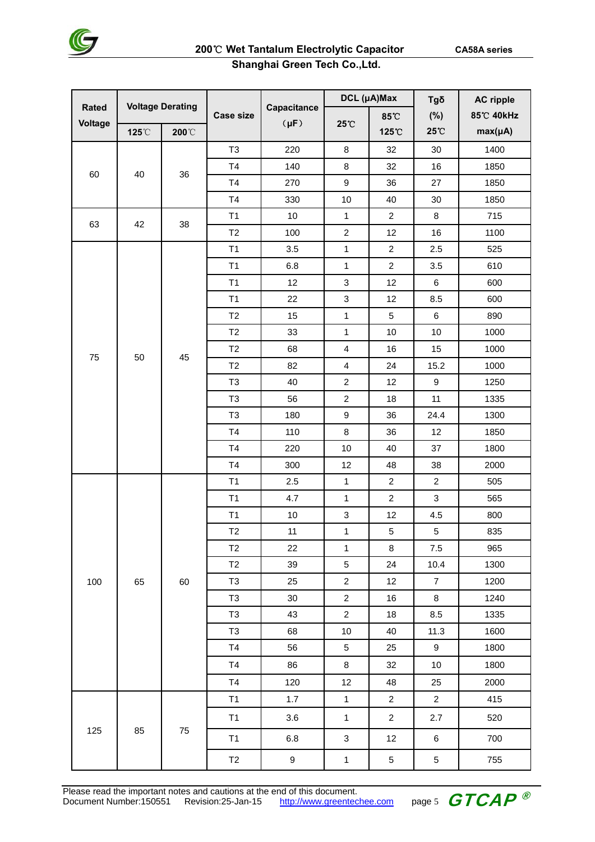

## **Shanghai Green Tech Co.,Ltd.**

|                         | <b>Voltage Derating</b> |       |                  | Capacitance | DCL (µA)Max             |                | Tgδ              | <b>AC ripple</b> |
|-------------------------|-------------------------|-------|------------------|-------------|-------------------------|----------------|------------------|------------------|
| <b>Rated</b><br>Voltage |                         |       | <b>Case size</b> | $(\mu F)$   | 25°C                    | 85°C           | (%)              | 85°C 40kHz       |
|                         | 125°C                   | 200°C |                  |             |                         | 125°C          | 25°C             | $max(\mu A)$     |
| 40<br>60                |                         |       | T <sub>3</sub>   | 220         | 8                       | 32             | 30               | 1400             |
|                         |                         | 36    | T4               | 140         | 8                       | 32             | 16               | 1850             |
|                         |                         |       | T4               | 270         | 9                       | 36             | 27               | 1850             |
|                         |                         |       | T4               | 330         | 10                      | 40             | 30               | 1850             |
| 63                      | 42                      | 38    | T1               | 10          | $\mathbf 1$             | $\overline{c}$ | 8                | 715              |
|                         |                         |       | T2               | 100         | $\overline{c}$          | 12             | 16               | 1100             |
|                         |                         |       | T1               | 3.5         | $\mathbf{1}$            | $\overline{c}$ | 2.5              | 525              |
|                         |                         |       | T1               | 6.8         | $\mathbf{1}$            | $\overline{c}$ | 3.5              | 610              |
|                         |                         |       | T1               | 12          | 3                       | 12             | 6                | 600              |
|                         |                         |       | T1               | 22          | 3                       | 12             | 8.5              | 600              |
|                         |                         |       | T2               | 15          | $\mathbf{1}$            | 5              | 6                | 890              |
|                         |                         |       | T2               | 33          | $\mathbf{1}$            | $10$           | 10               | 1000             |
| 75                      | 50                      | 45    | T2               | 68          | 4                       | 16             | 15               | 1000             |
|                         |                         |       | T2               | 82          | $\overline{\mathbf{4}}$ | 24             | 15.2             | 1000             |
|                         |                         |       | T <sub>3</sub>   | 40          | $\overline{c}$          | 12             | 9                | 1250             |
|                         |                         |       | T <sub>3</sub>   | 56          | $\overline{c}$          | 18             | 11               | 1335             |
|                         |                         |       | T <sub>3</sub>   | 180         | 9                       | 36             | 24.4             | 1300             |
|                         |                         |       | T4               | 110         | 8                       | 36             | 12               | 1850             |
|                         |                         |       | T4               | 220         | 10                      | 40             | 37               | 1800             |
|                         |                         |       | T4               | 300         | 12                      | 48             | 38               | 2000             |
|                         |                         |       | T1               | 2.5         | $\mathbf{1}$            | $\overline{c}$ | $\overline{2}$   | 505              |
|                         |                         |       | T1               | 4.7         | $\mathbf 1$             | $\overline{2}$ | $\sqrt{3}$       | 565              |
|                         |                         |       | T1               | $10$        | 3                       | 12             | 4.5              | 800              |
|                         |                         | 60    | T <sub>2</sub>   | 11          | $\mathbf{1}$            | 5              | 5                | 835              |
|                         |                         |       | T2               | 22          | $\mathbf{1}$            | $\bf 8$        | $7.5\,$          | 965              |
|                         |                         |       | T2               | 39          | $\,$ 5 $\,$             | 24             | 10.4             | 1300             |
| 100                     | 65                      |       | T <sub>3</sub>   | 25          | $\overline{c}$          | 12             | $\overline{7}$   | 1200             |
|                         |                         |       | T <sub>3</sub>   | 30          | $\overline{c}$          | 16             | 8                | 1240             |
|                         |                         |       | T <sub>3</sub>   | 43          | $\overline{c}$          | 18             | 8.5              | 1335             |
|                         |                         |       | T <sub>3</sub>   | 68          | 10                      | 40             | 11.3             | 1600             |
|                         |                         |       | T <sub>4</sub>   | 56          | 5                       | 25             | $\boldsymbol{9}$ | 1800             |
|                         |                         |       | T <sub>4</sub>   | 86          | $\bf 8$                 | 32             | $10$             | 1800             |
|                         |                         |       | T <sub>4</sub>   | 120         | 12                      | 48             | 25               | 2000             |
|                         |                         |       | T1               | 1.7         | $\mathbf{1}$            | $\overline{c}$ | $\overline{c}$   | 415              |
|                         |                         |       | T1               | 3.6         | $\mathbf{1}$            | $\overline{c}$ | 2.7              | 520              |
| 125                     | 85                      | 75    | T1               | 6.8         | 3                       | 12             | 6                | 700              |
|                         |                         |       | T <sub>2</sub>   | 9           | $\mathbf{1}$            | $\,$ 5 $\,$    | $\,$ 5 $\,$      | 755              |